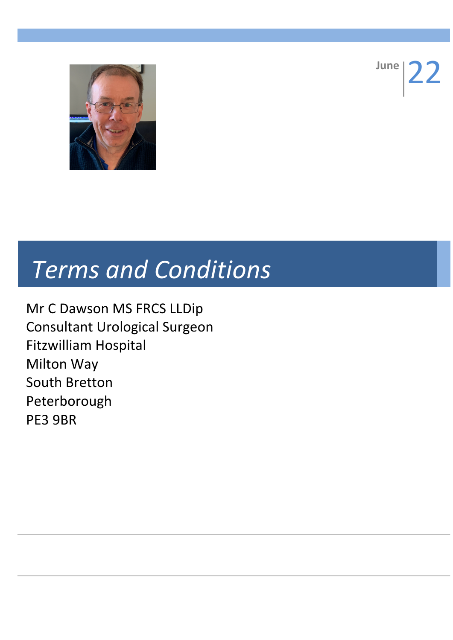

**June** 

## *Terms and Conditions*

Mr C Dawson MS FRCS LLDip Consultant Urological Surgeon Fitzwilliam Hospital Milton Way South Bretton Peterborough PE3 9BR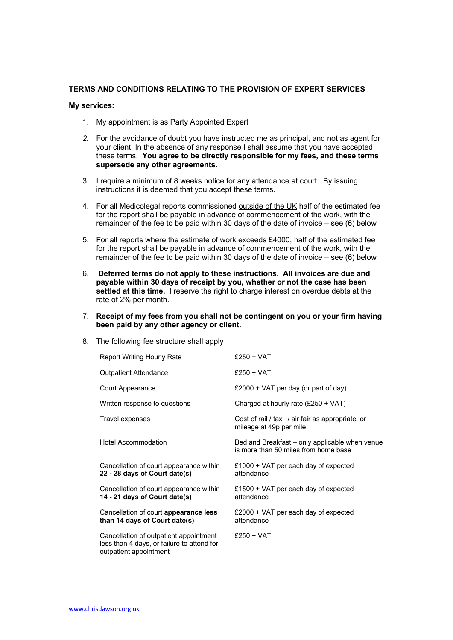## **TERMS AND CONDITIONS RELATING TO THE PROVISION OF EXPERT SERVICES**

## **My services:**

- 1. My appointment is as Party Appointed Expert
- *2.* For the avoidance of doubt you have instructed me as principal, and not as agent for your client. In the absence of any response I shall assume that you have accepted these terms. **You agree to be directly responsible for my fees, and these terms supersede any other agreements.**
- 3. I require a minimum of 8 weeks notice for any attendance at court. By issuing instructions it is deemed that you accept these terms.
- 4. For all Medicolegal reports commissioned outside of the UK half of the estimated fee for the report shall be payable in advance of commencement of the work, with the remainder of the fee to be paid within 30 days of the date of invoice – see (6) below
- 5. For all reports where the estimate of work exceeds £4000, half of the estimated fee for the report shall be payable in advance of commencement of the work, with the remainder of the fee to be paid within 30 days of the date of invoice – see (6) below
- 6. **Deferred terms do not apply to these instructions. All invoices are due and payable within 30 days of receipt by you, whether or not the case has been settled at this time.** I reserve the right to charge interest on overdue debts at the rate of 2% per month.
- 7. **Receipt of my fees from you shall not be contingent on you or your firm having been paid by any other agency or client.**
- 8. The following fee structure shall apply

| <b>Report Writing Hourly Rate</b>                                                                              | $£250 + VAT$                                                                           |
|----------------------------------------------------------------------------------------------------------------|----------------------------------------------------------------------------------------|
| <b>Outpatient Attendance</b>                                                                                   | $£250 + VAT$                                                                           |
| Court Appearance                                                                                               | £2000 + VAT per day (or part of day)                                                   |
| Written response to questions                                                                                  | Charged at hourly rate $(E250 + VAT)$                                                  |
| Travel expenses                                                                                                | Cost of rail / taxi / air fair as appropriate, or<br>mileage at 49p per mile           |
| Hotel Accommodation                                                                                            | Bed and Breakfast – only applicable when venue<br>is more than 50 miles from home base |
| Cancellation of court appearance within<br>22 - 28 days of Court date(s)                                       | £1000 + VAT per each day of expected<br>attendance                                     |
| Cancellation of court appearance within<br>14 - 21 days of Court date(s)                                       | £1500 + VAT per each day of expected<br>attendance                                     |
| Cancellation of court appearance less<br>than 14 days of Court date(s)                                         | £2000 + VAT per each day of expected<br>attendance                                     |
| Cancellation of outpatient appointment<br>less than 4 days, or failure to attend for<br>outpatient appointment | $£250 + VAT$                                                                           |